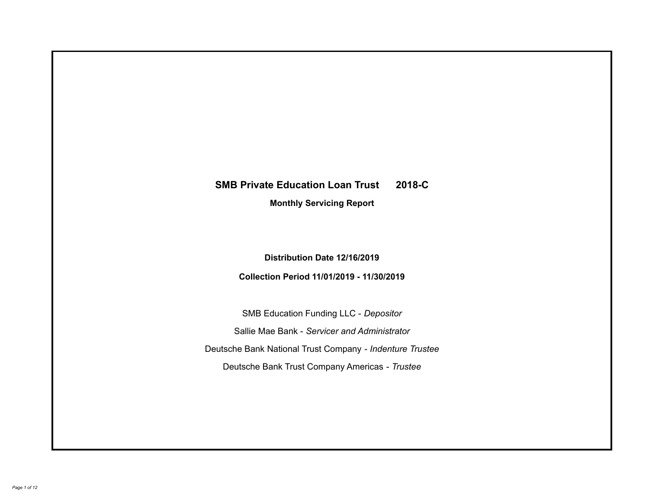# **SMB Private Education Loan Trust 2018-C Monthly Servicing Report**

## **Distribution Date 12/16/2019**

### **Collection Period 11/01/2019 - 11/30/2019**

SMB Education Funding LLC - *Depositor* Sallie Mae Bank - *Servicer and Administrator* Deutsche Bank National Trust Company - *Indenture Trustee* Deutsche Bank Trust Company Americas - *Trustee*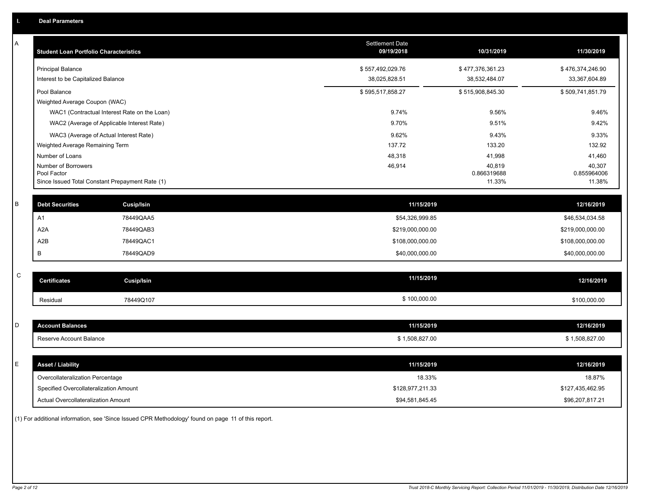| Α | <b>Student Loan Portfolio Characteristics</b>   |                                              | <b>Settlement Date</b><br>09/19/2018 | 10/31/2019            | 11/30/2019            |
|---|-------------------------------------------------|----------------------------------------------|--------------------------------------|-----------------------|-----------------------|
|   | <b>Principal Balance</b>                        |                                              | \$557,492,029.76                     | \$477,376,361.23      | \$476,374,246.90      |
|   | Interest to be Capitalized Balance              |                                              | 38,025,828.51                        | 38,532,484.07         | 33,367,604.89         |
|   | Pool Balance                                    |                                              | \$595,517,858.27                     | \$515,908,845.30      | \$509,741,851.79      |
|   | Weighted Average Coupon (WAC)                   |                                              |                                      |                       |                       |
|   |                                                 | WAC1 (Contractual Interest Rate on the Loan) | 9.74%                                | 9.56%                 | 9.46%                 |
|   |                                                 | WAC2 (Average of Applicable Interest Rate)   | 9.70%                                | 9.51%                 | 9.42%                 |
|   | WAC3 (Average of Actual Interest Rate)          |                                              | 9.62%                                | 9.43%                 | 9.33%                 |
|   | Weighted Average Remaining Term                 |                                              | 137.72                               | 133.20                | 132.92                |
|   | Number of Loans                                 |                                              | 48,318                               | 41,998                | 41,460                |
|   | Number of Borrowers<br>Pool Factor              |                                              | 46,914                               | 40,819<br>0.866319688 | 40,307<br>0.855964006 |
|   | Since Issued Total Constant Prepayment Rate (1) |                                              |                                      | 11.33%                | 11.38%                |
|   |                                                 |                                              |                                      |                       |                       |
| B | <b>Debt Securities</b>                          | <b>Cusip/Isin</b>                            | 11/15/2019                           |                       | 12/16/2019            |
|   | A <sub>1</sub>                                  | 78449QAA5                                    | \$54,326,999.85                      |                       | \$46,534,034.58       |
|   | A <sub>2</sub> A                                | 78449QAB3                                    | \$219,000,000.00                     |                       | \$219,000,000.00      |
|   | A2B                                             | 78449QAC1                                    | \$108,000,000.00                     |                       | \$108,000,000.00      |
|   | B                                               | 78449QAD9                                    | \$40,000,000.00                      |                       | \$40,000,000.00       |
|   |                                                 |                                              |                                      |                       |                       |
| С | <b>Certificates</b>                             | <b>Cusip/Isin</b>                            | 11/15/2019                           |                       | 12/16/2019            |
|   | Residual                                        | 78449Q107                                    | \$100,000.00                         |                       | \$100,000.00          |
|   |                                                 |                                              |                                      |                       |                       |
| D | <b>Account Balances</b>                         |                                              | 11/15/2019                           |                       | 12/16/2019            |
|   | Reserve Account Balance                         |                                              | \$1,508,827.00                       |                       | \$1,508,827.00        |
|   |                                                 |                                              |                                      |                       |                       |
| E | <b>Asset / Liability</b>                        |                                              | 11/15/2019                           |                       | 12/16/2019            |
|   | Overcollateralization Percentage                |                                              | 18.33%                               |                       | 18.87%                |
|   | Specified Overcollateralization Amount          |                                              | \$128,977,211.33                     |                       | \$127,435,462.95      |
|   | <b>Actual Overcollateralization Amount</b>      |                                              | \$94.581.845.45                      |                       | \$96.207.817.21       |

(1) For additional information, see 'Since Issued CPR Methodology' found on page 11 of this report.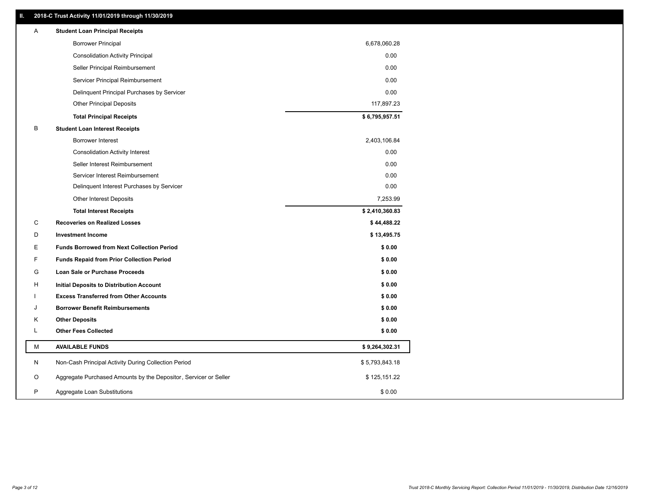### **II. 2018-C Trust Activity 11/01/2019 through 11/30/2019**

| A | <b>Student Loan Principal Receipts</b>                           |                |  |
|---|------------------------------------------------------------------|----------------|--|
|   | <b>Borrower Principal</b>                                        | 6,678,060.28   |  |
|   | <b>Consolidation Activity Principal</b>                          | 0.00           |  |
|   | Seller Principal Reimbursement                                   | 0.00           |  |
|   | Servicer Principal Reimbursement                                 | 0.00           |  |
|   | Delinquent Principal Purchases by Servicer                       | 0.00           |  |
|   | <b>Other Principal Deposits</b>                                  | 117,897.23     |  |
|   | <b>Total Principal Receipts</b>                                  | \$6,795,957.51 |  |
| В | <b>Student Loan Interest Receipts</b>                            |                |  |
|   | <b>Borrower Interest</b>                                         | 2,403,106.84   |  |
|   | <b>Consolidation Activity Interest</b>                           | 0.00           |  |
|   | Seller Interest Reimbursement                                    | 0.00           |  |
|   | Servicer Interest Reimbursement                                  | 0.00           |  |
|   | Delinquent Interest Purchases by Servicer                        | 0.00           |  |
|   | <b>Other Interest Deposits</b>                                   | 7,253.99       |  |
|   | <b>Total Interest Receipts</b>                                   | \$2,410,360.83 |  |
| C | <b>Recoveries on Realized Losses</b>                             | \$44,488.22    |  |
| D | <b>Investment Income</b>                                         | \$13,495.75    |  |
| Ε | <b>Funds Borrowed from Next Collection Period</b>                | \$0.00         |  |
| F | <b>Funds Repaid from Prior Collection Period</b>                 | \$0.00         |  |
| G | Loan Sale or Purchase Proceeds                                   | \$0.00         |  |
| н | Initial Deposits to Distribution Account                         | \$0.00         |  |
|   | <b>Excess Transferred from Other Accounts</b>                    | \$0.00         |  |
| J | <b>Borrower Benefit Reimbursements</b>                           | \$0.00         |  |
| Κ | <b>Other Deposits</b>                                            | \$0.00         |  |
| L | <b>Other Fees Collected</b>                                      | \$0.00         |  |
| М | <b>AVAILABLE FUNDS</b>                                           | \$9,264,302.31 |  |
| N | Non-Cash Principal Activity During Collection Period             | \$5,793,843.18 |  |
| O | Aggregate Purchased Amounts by the Depositor, Servicer or Seller | \$125,151.22   |  |
| P | Aggregate Loan Substitutions                                     | \$0.00         |  |
|   |                                                                  |                |  |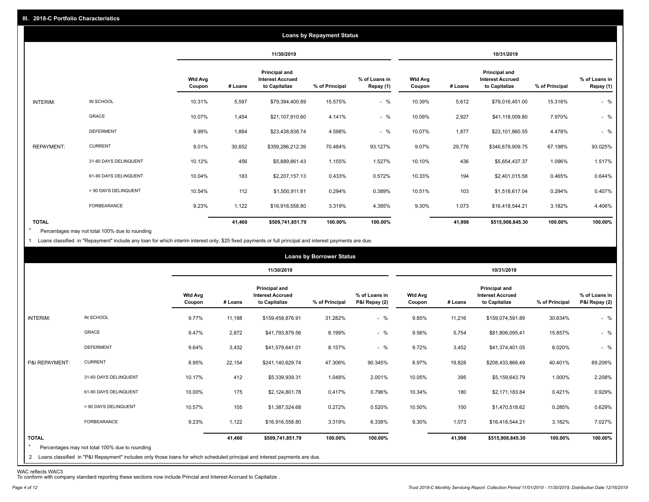|                   |                       |                          |         |                                                           | <b>Loans by Repayment Status</b> |                            |                          |         |                                                           |                |                            |
|-------------------|-----------------------|--------------------------|---------|-----------------------------------------------------------|----------------------------------|----------------------------|--------------------------|---------|-----------------------------------------------------------|----------------|----------------------------|
|                   |                       |                          |         | 11/30/2019                                                |                                  |                            |                          |         | 10/31/2019                                                |                |                            |
|                   |                       | <b>Wtd Avg</b><br>Coupon | # Loans | Principal and<br><b>Interest Accrued</b><br>to Capitalize | % of Principal                   | % of Loans in<br>Repay (1) | <b>Wtd Avg</b><br>Coupon | # Loans | Principal and<br><b>Interest Accrued</b><br>to Capitalize | % of Principal | % of Loans in<br>Repay (1) |
| INTERIM:          | IN SCHOOL             | 10.31%                   | 5,597   | \$79,394,400.89                                           | 15.575%                          | $-$ %                      | 10.39%                   | 5,612   | \$79,016,451.00                                           | 15.316%        | $-$ %                      |
|                   | GRACE                 | 10.07%                   | 1,454   | \$21,107,910.60                                           | 4.141%                           | $-$ %                      | 10.09%                   | 2,927   | \$41,118,009.80                                           | 7.970%         | $-$ %                      |
|                   | <b>DEFERMENT</b>      | 9.99%                    | 1,884   | \$23,438,838.74                                           | 4.598%                           | $-$ %                      | 10.07%                   | 1,877   | \$23,101,860.55                                           | 4.478%         | $-$ %                      |
| <b>REPAYMENT:</b> | <b>CURRENT</b>        | 9.01%                    | 30,652  | \$359,286,212.39                                          | 70.484%                          | 93.127%                    | 9.07%                    | 29,776  | \$346,679,909.75                                          | 67.198%        | 93.025%                    |
|                   | 31-60 DAYS DELINQUENT | 10.12%                   | 456     | \$5,889,861.43                                            | 1.155%                           | 1.527%                     | 10.10%                   | 436     | \$5,654,437.37                                            | 1.096%         | 1.517%                     |
|                   | 61-90 DAYS DELINQUENT | 10.04%                   | 183     | \$2,207,157.13                                            | 0.433%                           | 0.572%                     | 10.33%                   | 194     | \$2,401,015.58                                            | 0.465%         | 0.644%                     |
|                   | > 90 DAYS DELINQUENT  | 10.54%                   | 112     | \$1,500,911.81                                            | 0.294%                           | 0.389%                     | 10.51%                   | 103     | \$1,518,617.04                                            | 0.294%         | 0.407%                     |
|                   | FORBEARANCE           | 9.23%                    | 1,122   | \$16,916,558.80                                           | 3.319%                           | 4.385%                     | 9.30%                    | 1,073   | \$16,418,544.21                                           | 3.182%         | 4.406%                     |
| <b>TOTAL</b>      |                       |                          | 41,460  | \$509,741,851.79                                          | 100.00%                          | 100.00%                    |                          | 41,998  | \$515,908,845.30                                          | 100.00%        | 100.00%                    |

Percentages may not total 100% due to rounding  $\star$ 

1 Loans classified in "Repayment" include any loan for which interim interest only, \$25 fixed payments or full principal and interest payments are due.

|                         |                                                                                                                                                                                |                          |         |                                                           | <b>Loans by Borrower Status</b> |                                |                          |         |                                                                  |                |                                |
|-------------------------|--------------------------------------------------------------------------------------------------------------------------------------------------------------------------------|--------------------------|---------|-----------------------------------------------------------|---------------------------------|--------------------------------|--------------------------|---------|------------------------------------------------------------------|----------------|--------------------------------|
|                         |                                                                                                                                                                                |                          |         | 11/30/2019                                                |                                 |                                |                          |         | 10/31/2019                                                       |                |                                |
|                         |                                                                                                                                                                                | <b>Wtd Avg</b><br>Coupon | # Loans | Principal and<br><b>Interest Accrued</b><br>to Capitalize | % of Principal                  | % of Loans in<br>P&I Repay (2) | <b>Wtd Avg</b><br>Coupon | # Loans | <b>Principal and</b><br><b>Interest Accrued</b><br>to Capitalize | % of Principal | % of Loans in<br>P&I Repay (2) |
| INTERIM:                | IN SCHOOL                                                                                                                                                                      | 9.77%                    | 11,188  | \$159,458,876.91                                          | 31.282%                         | $-$ %                          | 9.85%                    | 11,216  | \$159,074,591.89                                                 | 30.834%        | $-$ %                          |
|                         | GRACE                                                                                                                                                                          | 9.47%                    | 2,872   | \$41,793,879.56                                           | 8.199%                          | $-$ %                          | 9.56%                    | 5,754   | \$81,806,095.41                                                  | 15.857%        | $-$ %                          |
|                         | <b>DEFERMENT</b>                                                                                                                                                               | 9.64%                    | 3,432   | \$41,579,641.01                                           | 8.157%                          | $-$ %                          | 9.72%                    | 3,452   | \$41,374,401.05                                                  | 8.020%         | $-$ %                          |
| P&I REPAYMENT:          | <b>CURRENT</b>                                                                                                                                                                 | 8.95%                    | 22,154  | \$241,140,629.74                                          | 47.306%                         | 90.345%                        | 8.97%                    | 19,828  | \$208,433,866.49                                                 | 40.401%        | 89.206%                        |
|                         | 31-60 DAYS DELINQUENT                                                                                                                                                          | 10.17%                   | 412     | \$5,339,939.31                                            | 1.048%                          | 2.001%                         | 10.05%                   | 395     | \$5,159,643.79                                                   | 1.000%         | 2.208%                         |
|                         | 61-90 DAYS DELINQUENT                                                                                                                                                          | 10.00%                   | 175     | \$2,124,801.78                                            | 0.417%                          | 0.796%                         | 10.34%                   | 180     | \$2,171,183.84                                                   | 0.421%         | 0.929%                         |
|                         | > 90 DAYS DELINQUENT                                                                                                                                                           | 10.57%                   | 105     | \$1,387,524.68                                            | 0.272%                          | 0.520%                         | 10.50%                   | 100     | \$1,470,518.62                                                   | 0.285%         | 0.629%                         |
|                         | FORBEARANCE                                                                                                                                                                    | 9.23%                    | 1,122   | \$16,916,558.80                                           | 3.319%                          | 6.338%                         | 9.30%                    | 1,073   | \$16,418,544.21                                                  | 3.182%         | 7.027%                         |
| <b>TOTAL</b><br>$\star$ | Percentages may not total 100% due to rounding<br>2 Loans classified in "P&I Repayment" includes only those loans for which scheduled principal and interest payments are due. |                          | 41,460  | \$509,741,851.79                                          | 100.00%                         | 100.00%                        |                          | 41,998  | \$515,908,845.30                                                 | 100.00%        | 100.00%                        |

WAC reflects WAC3 To conform with company standard reporting these sections now include Princial and Interest Accrued to Capitalize .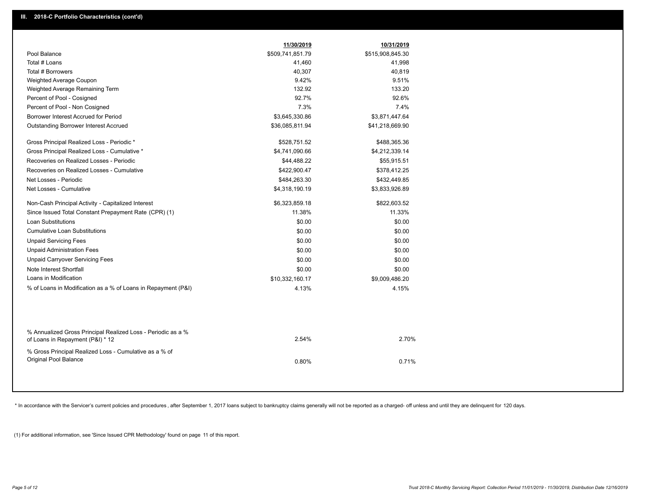|                                                                                                  | 11/30/2019       | 10/31/2019       |  |
|--------------------------------------------------------------------------------------------------|------------------|------------------|--|
| Pool Balance                                                                                     | \$509,741,851.79 | \$515,908,845.30 |  |
| Total # Loans                                                                                    | 41,460           | 41,998           |  |
| Total # Borrowers                                                                                | 40,307           | 40,819           |  |
| Weighted Average Coupon                                                                          | 9.42%            | 9.51%            |  |
| Weighted Average Remaining Term                                                                  | 132.92           | 133.20           |  |
| Percent of Pool - Cosigned                                                                       | 92.7%            | 92.6%            |  |
| Percent of Pool - Non Cosigned                                                                   | 7.3%             | 7.4%             |  |
| Borrower Interest Accrued for Period                                                             | \$3,645,330.86   | \$3,871,447.64   |  |
| Outstanding Borrower Interest Accrued                                                            | \$36,085,811.94  | \$41,218,669.90  |  |
| Gross Principal Realized Loss - Periodic *                                                       | \$528,751.52     | \$488,365.36     |  |
| Gross Principal Realized Loss - Cumulative *                                                     | \$4,741,090.66   | \$4,212,339.14   |  |
| Recoveries on Realized Losses - Periodic                                                         | \$44,488.22      | \$55,915.51      |  |
| Recoveries on Realized Losses - Cumulative                                                       | \$422,900.47     | \$378,412.25     |  |
| Net Losses - Periodic                                                                            | \$484,263.30     | \$432,449.85     |  |
| Net Losses - Cumulative                                                                          | \$4,318,190.19   | \$3,833,926.89   |  |
| Non-Cash Principal Activity - Capitalized Interest                                               | \$6,323,859.18   | \$822,603.52     |  |
| Since Issued Total Constant Prepayment Rate (CPR) (1)                                            | 11.38%           | 11.33%           |  |
| Loan Substitutions                                                                               | \$0.00           | \$0.00           |  |
| <b>Cumulative Loan Substitutions</b>                                                             | \$0.00           | \$0.00           |  |
| <b>Unpaid Servicing Fees</b>                                                                     | \$0.00           | \$0.00           |  |
| <b>Unpaid Administration Fees</b>                                                                | \$0.00           | \$0.00           |  |
| <b>Unpaid Carryover Servicing Fees</b>                                                           | \$0.00           | \$0.00           |  |
| Note Interest Shortfall                                                                          | \$0.00           | \$0.00           |  |
| Loans in Modification                                                                            | \$10,332,160.17  | \$9,009,486.20   |  |
| % of Loans in Modification as a % of Loans in Repayment (P&I)                                    | 4.13%            | 4.15%            |  |
|                                                                                                  |                  |                  |  |
| % Annualized Gross Principal Realized Loss - Periodic as a %<br>of Loans in Repayment (P&I) * 12 | 2.54%            | 2.70%            |  |
| % Gross Principal Realized Loss - Cumulative as a % of<br>Original Pool Balance                  | 0.80%            | 0.71%            |  |

\* In accordance with the Servicer's current policies and procedures, after September 1, 2017 loans subject to bankruptcy claims generally will not be reported as a charged- off unless and until they are delinquent for 120

(1) For additional information, see 'Since Issued CPR Methodology' found on page 11 of this report.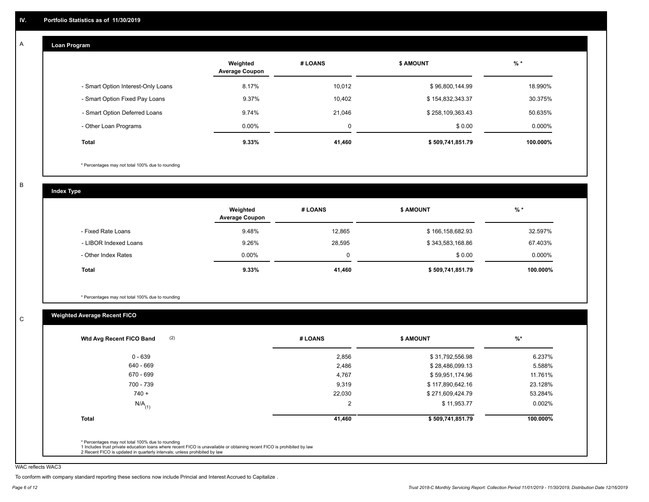#### **Loan Program**  A

|                                    | Weighted<br><b>Average Coupon</b> | # LOANS     | <b>\$ AMOUNT</b> | $%$ *     |
|------------------------------------|-----------------------------------|-------------|------------------|-----------|
| - Smart Option Interest-Only Loans | 8.17%                             | 10,012      | \$96,800,144.99  | 18.990%   |
| - Smart Option Fixed Pay Loans     | 9.37%                             | 10,402      | \$154,832,343.37 | 30.375%   |
| - Smart Option Deferred Loans      | 9.74%                             | 21,046      | \$258,109,363.43 | 50.635%   |
| - Other Loan Programs              | $0.00\%$                          | $\mathbf 0$ | \$0.00           | $0.000\%$ |
| <b>Total</b>                       | $9.33\%$                          | 41,460      | \$509,741,851.79 | 100.000%  |

\* Percentages may not total 100% due to rounding

B

C

**Index Type**

|                       | Weighted<br><b>Average Coupon</b> | # LOANS | <b>\$ AMOUNT</b> | $%$ *    |
|-----------------------|-----------------------------------|---------|------------------|----------|
| - Fixed Rate Loans    | 9.48%                             | 12,865  | \$166,158,682.93 | 32.597%  |
| - LIBOR Indexed Loans | 9.26%                             | 28,595  | \$343,583,168.86 | 67.403%  |
| - Other Index Rates   | $0.00\%$                          |         | \$0.00           | 0.000%   |
| Total                 | $9.33\%$                          | 41,460  | \$509,741,851.79 | 100.000% |

\* Percentages may not total 100% due to rounding

### **Weighted Average Recent FICO**

| (2)<br>Wtd Avg Recent FICO Band | # LOANS | <b>S AMOUNT</b>  | $%$ *     |
|---------------------------------|---------|------------------|-----------|
| $0 - 639$                       | 2,856   | \$31,792,556.98  | 6.237%    |
| 640 - 669                       | 2,486   | \$28,486,099.13  | 5.588%    |
| 670 - 699                       | 4,767   | \$59,951,174.96  | 11.761%   |
| 700 - 739                       | 9,319   | \$117,890,642.16 | 23.128%   |
| $740 +$                         | 22,030  | \$271,609,424.79 | 53.284%   |
| $N/A$ <sub>(1)</sub>            | 2       | \$11,953.77      | $0.002\%$ |
| Total                           | 41,460  | \$509,741,851.79 | 100.000%  |

WAC reflects WAC3

To conform with company standard reporting these sections now include Princial and Interest Accrued to Capitalize .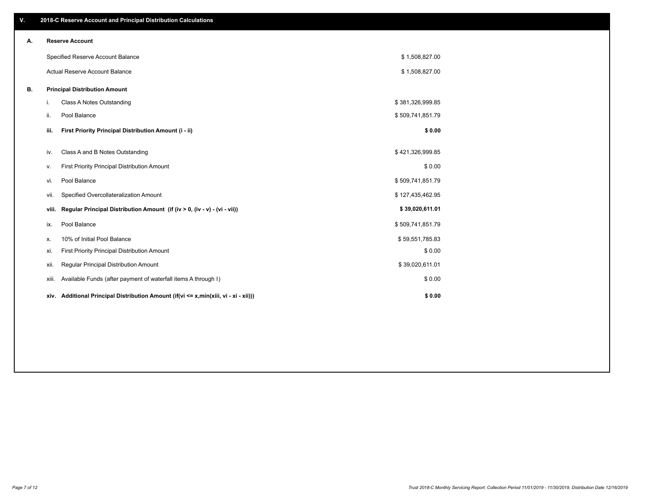| V. |       | 2018-C Reserve Account and Principal Distribution Calculations                  |                  |  |
|----|-------|---------------------------------------------------------------------------------|------------------|--|
| Α. |       | <b>Reserve Account</b>                                                          |                  |  |
|    |       | Specified Reserve Account Balance                                               | \$1,508,827.00   |  |
|    |       | Actual Reserve Account Balance                                                  | \$1,508,827.00   |  |
| В. |       | <b>Principal Distribution Amount</b>                                            |                  |  |
|    | i.    | Class A Notes Outstanding                                                       | \$381,326,999.85 |  |
|    | ii.   | Pool Balance                                                                    | \$509,741,851.79 |  |
|    | iii.  | First Priority Principal Distribution Amount (i - ii)                           | \$0.00           |  |
|    | iv.   | Class A and B Notes Outstanding                                                 | \$421,326,999.85 |  |
|    | ٧.    | First Priority Principal Distribution Amount                                    | \$0.00           |  |
|    | vi.   | Pool Balance                                                                    | \$509,741,851.79 |  |
|    | vii.  | Specified Overcollateralization Amount                                          | \$127,435,462.95 |  |
|    | viii. | Regular Principal Distribution Amount (if (iv > 0, (iv - v) - (vi - vii))       | \$39,020,611.01  |  |
|    | ix.   | Pool Balance                                                                    | \$509,741,851.79 |  |
|    | Х.    | 10% of Initial Pool Balance                                                     | \$59,551,785.83  |  |
|    | xi.   | First Priority Principal Distribution Amount                                    | \$0.00           |  |
|    | xii.  | Regular Principal Distribution Amount                                           | \$39,020,611.01  |  |
|    | xiii. | Available Funds (after payment of waterfall items A through I)                  | \$0.00           |  |
|    | xiv.  | Additional Principal Distribution Amount (if(vi <= x,min(xiii, vi - xi - xii))) | \$0.00           |  |
|    |       |                                                                                 |                  |  |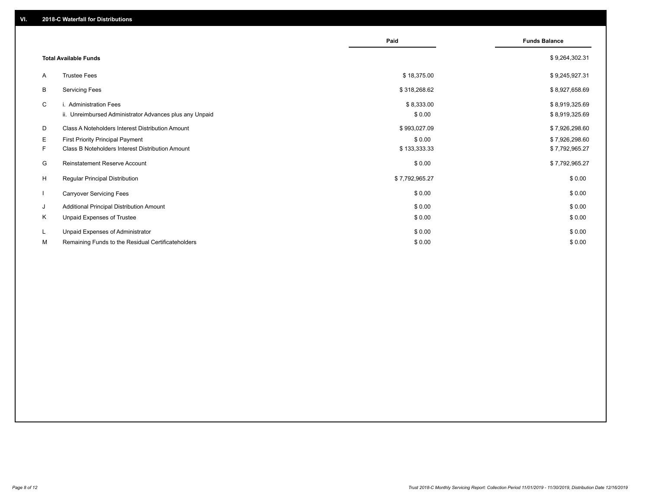|              |                                                                                   | Paid                 | <b>Funds Balance</b>             |
|--------------|-----------------------------------------------------------------------------------|----------------------|----------------------------------|
|              | <b>Total Available Funds</b>                                                      |                      | \$9,264,302.31                   |
| A            | <b>Trustee Fees</b>                                                               | \$18,375.00          | \$9,245,927.31                   |
| В            | <b>Servicing Fees</b>                                                             | \$318,268.62         | \$8,927,658.69                   |
| C            | i. Administration Fees<br>ii. Unreimbursed Administrator Advances plus any Unpaid | \$8,333.00<br>\$0.00 | \$8,919,325.69<br>\$8,919,325.69 |
| D            | Class A Noteholders Interest Distribution Amount                                  | \$993,027.09         | \$7,926,298.60                   |
| E.           | <b>First Priority Principal Payment</b>                                           | \$0.00               | \$7,926,298.60                   |
| F.           | Class B Noteholders Interest Distribution Amount                                  | \$133,333.33         | \$7,792,965.27                   |
| G            | <b>Reinstatement Reserve Account</b>                                              | \$0.00               | \$7,792,965.27                   |
| H            | <b>Regular Principal Distribution</b>                                             | \$7,792,965.27       | \$0.00                           |
| $\mathbf{I}$ | <b>Carryover Servicing Fees</b>                                                   | \$0.00               | \$0.00                           |
| J            | Additional Principal Distribution Amount                                          | \$0.00               | \$0.00                           |
| Κ            | Unpaid Expenses of Trustee                                                        | \$0.00               | \$0.00                           |
| L            | Unpaid Expenses of Administrator                                                  | \$0.00               | \$0.00                           |
| М            | Remaining Funds to the Residual Certificateholders                                | \$0.00               | \$0.00                           |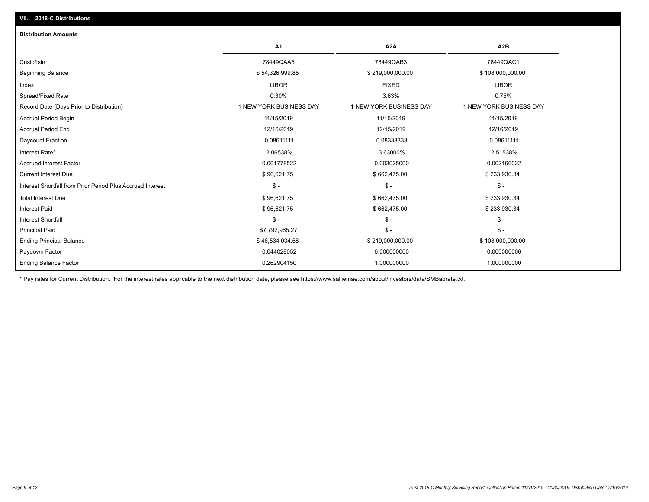| <b>Distribution Amounts</b>                                |                         |                         |                         |
|------------------------------------------------------------|-------------------------|-------------------------|-------------------------|
|                                                            | A <sub>1</sub>          | A <sub>2</sub> A        | A <sub>2</sub> B        |
| Cusip/Isin                                                 | 78449QAA5               | 78449QAB3               | 78449QAC1               |
| <b>Beginning Balance</b>                                   | \$54,326,999.85         | \$219,000,000.00        | \$108,000,000.00        |
| Index                                                      | <b>LIBOR</b>            | <b>FIXED</b>            | <b>LIBOR</b>            |
| Spread/Fixed Rate                                          | 0.30%                   | 3.63%                   | 0.75%                   |
| Record Date (Days Prior to Distribution)                   | 1 NEW YORK BUSINESS DAY | 1 NEW YORK BUSINESS DAY | 1 NEW YORK BUSINESS DAY |
| <b>Accrual Period Begin</b>                                | 11/15/2019              | 11/15/2019              | 11/15/2019              |
| <b>Accrual Period End</b>                                  | 12/16/2019              | 12/15/2019              | 12/16/2019              |
| Daycount Fraction                                          | 0.08611111              | 0.08333333              | 0.08611111              |
| Interest Rate*                                             | 2.06538%                | 3.63000%                | 2.51538%                |
| <b>Accrued Interest Factor</b>                             | 0.001778522             | 0.003025000             | 0.002166022             |
| <b>Current Interest Due</b>                                | \$96,621.75             | \$662,475.00            | \$233,930.34            |
| Interest Shortfall from Prior Period Plus Accrued Interest | $\frac{1}{2}$           | $\frac{2}{3}$ -         | $\mathsf{\$}$ -         |
| <b>Total Interest Due</b>                                  | \$96,621.75             | \$662,475.00            | \$233,930.34            |
| <b>Interest Paid</b>                                       | \$96,621.75             | \$662,475.00            | \$233,930.34            |
| <b>Interest Shortfall</b>                                  | $\mathsf{\$}$ -         | $\frac{1}{2}$           | $$ -$                   |
| <b>Principal Paid</b>                                      | \$7,792,965.27          | $\mathsf{\$}$ -         | $$ -$                   |
| <b>Ending Principal Balance</b>                            | \$46,534,034.58         | \$219,000,000.00        | \$108,000,000.00        |
| Paydown Factor                                             | 0.044028052             | 0.000000000             | 0.000000000             |
| <b>Ending Balance Factor</b>                               | 0.262904150             | 1.000000000             | 1.000000000             |

\* Pay rates for Current Distribution. For the interest rates applicable to the next distribution date, please see https://www.salliemae.com/about/investors/data/SMBabrate.txt.

**VII. 2018-C Distributions**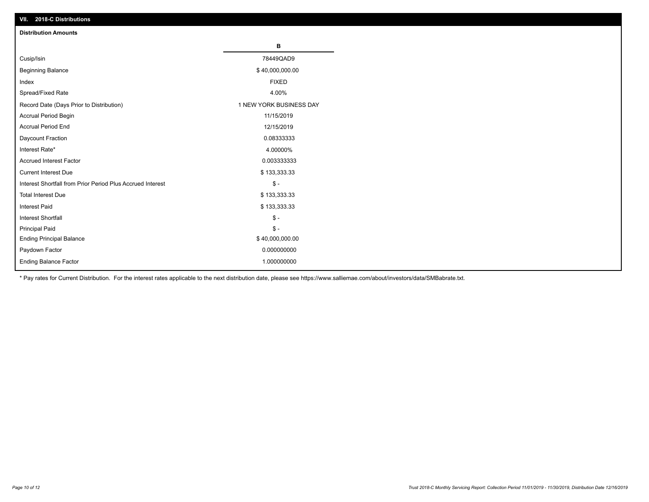| VII. ZU 10-U DISTIBUTURIS                                  |                         |
|------------------------------------------------------------|-------------------------|
| <b>Distribution Amounts</b>                                |                         |
|                                                            | В                       |
| Cusip/Isin                                                 | 78449QAD9               |
| <b>Beginning Balance</b>                                   | \$40,000,000.00         |
| Index                                                      | <b>FIXED</b>            |
| Spread/Fixed Rate                                          | 4.00%                   |
| Record Date (Days Prior to Distribution)                   | 1 NEW YORK BUSINESS DAY |
| Accrual Period Begin                                       | 11/15/2019              |
| <b>Accrual Period End</b>                                  | 12/15/2019              |
| Daycount Fraction                                          | 0.08333333              |
| Interest Rate*                                             | 4.00000%                |
| <b>Accrued Interest Factor</b>                             | 0.003333333             |
| <b>Current Interest Due</b>                                | \$133,333.33            |
| Interest Shortfall from Prior Period Plus Accrued Interest | $\mathcal{S}$ -         |
| <b>Total Interest Due</b>                                  | \$133,333.33            |
| <b>Interest Paid</b>                                       | \$133,333.33            |
| Interest Shortfall                                         | $\mathcal{S}$ -         |
| <b>Principal Paid</b>                                      | $\frac{1}{2}$           |
| <b>Ending Principal Balance</b>                            | \$40,000,000.00         |
| Paydown Factor                                             | 0.000000000             |
| <b>Ending Balance Factor</b>                               | 1.000000000             |

\* Pay rates for Current Distribution. For the interest rates applicable to the next distribution date, please see https://www.salliemae.com/about/investors/data/SMBabrate.txt.

**VII. 2018-C Distributions**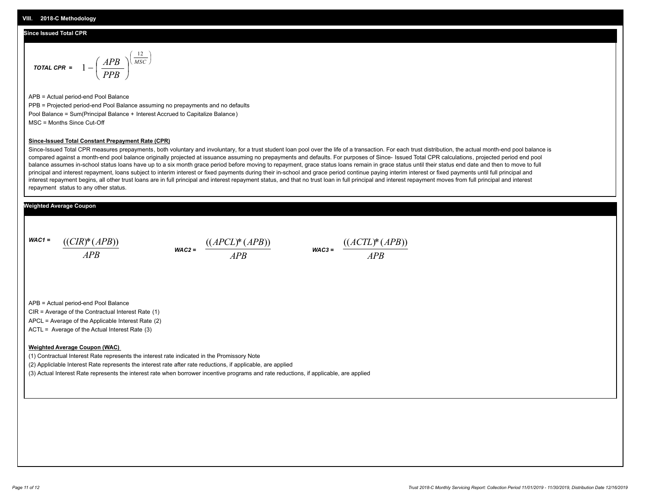#### **Since Issued Total CPR**

$$
\text{total CPR} = 1 - \left(\frac{APB}{PPB}\right)^{\left(\frac{12}{MSC}\right)}
$$

APB = Actual period-end Pool Balance PPB = Projected period-end Pool Balance assuming no prepayments and no defaults Pool Balance = Sum(Principal Balance + Interest Accrued to Capitalize Balance) MSC = Months Since Cut-Off

#### **Since-Issued Total Constant Prepayment Rate (CPR)**

Since-Issued Total CPR measures prepayments, both voluntary and involuntary, for a trust student loan pool over the life of a transaction. For each trust distribution, the actual month-end pool balance is compared against a month-end pool balance originally projected at issuance assuming no prepayments and defaults. For purposes of Since- Issued Total CPR calculations, projected period end pool balance assumes in-school status loans have up to a six month grace period before moving to repayment, grace status loans remain in grace status until their status end date and then to move to full principal and interest repayment, loans subject to interim interest or fixed payments during their in-school and grace period continue paying interim interest or fixed payments until full principal and interest repayment begins, all other trust loans are in full principal and interest repayment status, and that no trust loan in full principal and interest repayment moves from full principal and interest repayment status to any other status.

#### **Weighted Average Coupon**

*WAC1 = APB* ((*CIR*)\*(*APB*))





APB = Actual period-end Pool Balance

CIR = Average of the Contractual Interest Rate (1)

APCL = Average of the Applicable Interest Rate (2)

ACTL = Average of the Actual Interest Rate (3)

#### **Weighted Average Coupon (WAC)**

(1) Contractual Interest Rate represents the interest rate indicated in the Promissory Note

(2) Appliclable Interest Rate represents the interest rate after rate reductions, if applicable, are applied

(3) Actual Interest Rate represents the interest rate when borrower incentive programs and rate reductions, if applicable, are applied